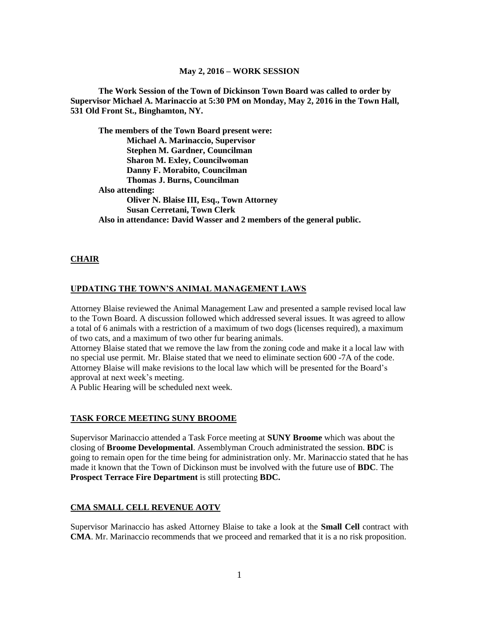**The Work Session of the Town of Dickinson Town Board was called to order by Supervisor Michael A. Marinaccio at 5:30 PM on Monday, May 2, 2016 in the Town Hall, 531 Old Front St., Binghamton, NY.**

**The members of the Town Board present were: Michael A. Marinaccio, Supervisor Stephen M. Gardner, Councilman Sharon M. Exley, Councilwoman Danny F. Morabito, Councilman Thomas J. Burns, Councilman Also attending: Oliver N. Blaise III, Esq., Town Attorney Susan Cerretani, Town Clerk Also in attendance: David Wasser and 2 members of the general public.**

#### **CHAIR**

#### **UPDATING THE TOWN'S ANIMAL MANAGEMENT LAWS**

Attorney Blaise reviewed the Animal Management Law and presented a sample revised local law to the Town Board. A discussion followed which addressed several issues. It was agreed to allow a total of 6 animals with a restriction of a maximum of two dogs (licenses required), a maximum of two cats, and a maximum of two other fur bearing animals.

Attorney Blaise stated that we remove the law from the zoning code and make it a local law with no special use permit. Mr. Blaise stated that we need to eliminate section 600 -7A of the code. Attorney Blaise will make revisions to the local law which will be presented for the Board's approval at next week's meeting.

A Public Hearing will be scheduled next week.

#### **TASK FORCE MEETING SUNY BROOME**

Supervisor Marinaccio attended a Task Force meeting at **SUNY Broome** which was about the closing of **Broome Developmental**. Assemblyman Crouch administrated the session. **BDC** is going to remain open for the time being for administration only. Mr. Marinaccio stated that he has made it known that the Town of Dickinson must be involved with the future use of **BDC**. The **Prospect Terrace Fire Department** is still protecting **BDC.**

#### **CMA SMALL CELL REVENUE AOTV**

Supervisor Marinaccio has asked Attorney Blaise to take a look at the **Small Cell** contract with **CMA**. Mr. Marinaccio recommends that we proceed and remarked that it is a no risk proposition.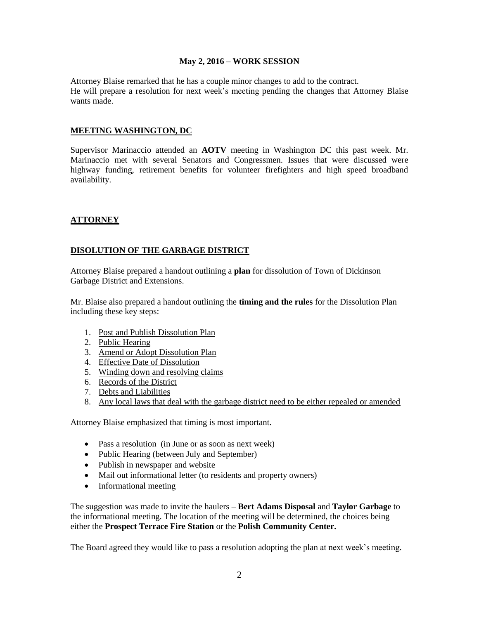Attorney Blaise remarked that he has a couple minor changes to add to the contract. He will prepare a resolution for next week's meeting pending the changes that Attorney Blaise wants made.

#### **MEETING WASHINGTON, DC**

Supervisor Marinaccio attended an **AOTV** meeting in Washington DC this past week. Mr. Marinaccio met with several Senators and Congressmen. Issues that were discussed were highway funding, retirement benefits for volunteer firefighters and high speed broadband availability.

## **ATTORNEY**

## **DISOLUTION OF THE GARBAGE DISTRICT**

Attorney Blaise prepared a handout outlining a **plan** for dissolution of Town of Dickinson Garbage District and Extensions.

Mr. Blaise also prepared a handout outlining the **timing and the rules** for the Dissolution Plan including these key steps:

- 1. Post and Publish Dissolution Plan
- 2. Public Hearing
- 3. Amend or Adopt Dissolution Plan
- 4. Effective Date of Dissolution
- 5. Winding down and resolving claims
- 6. Records of the District
- 7. Debts and Liabilities
- 8. Any local laws that deal with the garbage district need to be either repealed or amended

Attorney Blaise emphasized that timing is most important.

- Pass a resolution (in June or as soon as next week)
- Public Hearing (between July and September)
- Publish in newspaper and website
- Mail out informational letter (to residents and property owners)
- Informational meeting

The suggestion was made to invite the haulers – **Bert Adams Disposal** and **Taylor Garbage** to the informational meeting. The location of the meeting will be determined, the choices being either the **Prospect Terrace Fire Station** or the **Polish Community Center.**

The Board agreed they would like to pass a resolution adopting the plan at next week's meeting.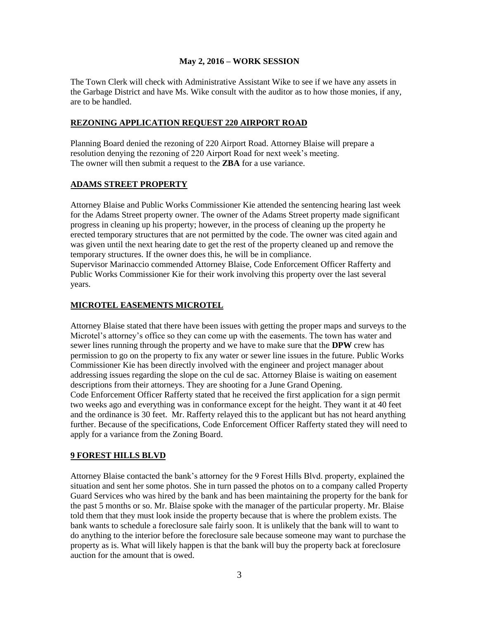The Town Clerk will check with Administrative Assistant Wike to see if we have any assets in the Garbage District and have Ms. Wike consult with the auditor as to how those monies, if any, are to be handled.

## **REZONING APPLICATION REQUEST 220 AIRPORT ROAD**

Planning Board denied the rezoning of 220 Airport Road. Attorney Blaise will prepare a resolution denying the rezoning of 220 Airport Road for next week's meeting. The owner will then submit a request to the **ZBA** for a use variance.

## **ADAMS STREET PROPERTY**

Attorney Blaise and Public Works Commissioner Kie attended the sentencing hearing last week for the Adams Street property owner. The owner of the Adams Street property made significant progress in cleaning up his property; however, in the process of cleaning up the property he erected temporary structures that are not permitted by the code. The owner was cited again and was given until the next hearing date to get the rest of the property cleaned up and remove the temporary structures. If the owner does this, he will be in compliance. Supervisor Marinaccio commended Attorney Blaise, Code Enforcement Officer Rafferty and Public Works Commissioner Kie for their work involving this property over the last several years.

## **MICROTEL EASEMENTS MICROTEL**

Attorney Blaise stated that there have been issues with getting the proper maps and surveys to the Microtel's attorney's office so they can come up with the easements. The town has water and sewer lines running through the property and we have to make sure that the **DPW** crew has permission to go on the property to fix any water or sewer line issues in the future. Public Works Commissioner Kie has been directly involved with the engineer and project manager about addressing issues regarding the slope on the cul de sac. Attorney Blaise is waiting on easement descriptions from their attorneys. They are shooting for a June Grand Opening. Code Enforcement Officer Rafferty stated that he received the first application for a sign permit two weeks ago and everything was in conformance except for the height. They want it at 40 feet and the ordinance is 30 feet. Mr. Rafferty relayed this to the applicant but has not heard anything further. Because of the specifications, Code Enforcement Officer Rafferty stated they will need to apply for a variance from the Zoning Board.

## **9 FOREST HILLS BLVD**

Attorney Blaise contacted the bank's attorney for the 9 Forest Hills Blvd. property, explained the situation and sent her some photos. She in turn passed the photos on to a company called Property Guard Services who was hired by the bank and has been maintaining the property for the bank for the past 5 months or so. Mr. Blaise spoke with the manager of the particular property. Mr. Blaise told them that they must look inside the property because that is where the problem exists. The bank wants to schedule a foreclosure sale fairly soon. It is unlikely that the bank will to want to do anything to the interior before the foreclosure sale because someone may want to purchase the property as is. What will likely happen is that the bank will buy the property back at foreclosure auction for the amount that is owed.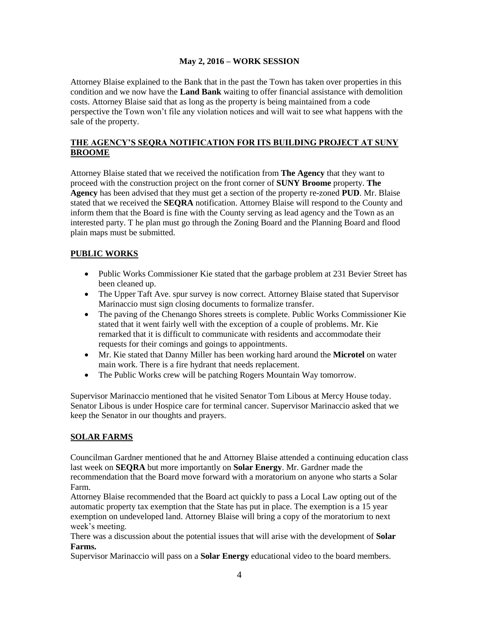Attorney Blaise explained to the Bank that in the past the Town has taken over properties in this condition and we now have the **Land Bank** waiting to offer financial assistance with demolition costs. Attorney Blaise said that as long as the property is being maintained from a code perspective the Town won't file any violation notices and will wait to see what happens with the sale of the property.

## **THE AGENCY'S SEQRA NOTIFICATION FOR ITS BUILDING PROJECT AT SUNY BROOME**

Attorney Blaise stated that we received the notification from **The Agency** that they want to proceed with the construction project on the front corner of **SUNY Broome** property. **The Agency** has been advised that they must get a section of the property re-zoned **PUD**. Mr. Blaise stated that we received the **SEQRA** notification. Attorney Blaise will respond to the County and inform them that the Board is fine with the County serving as lead agency and the Town as an interested party. T he plan must go through the Zoning Board and the Planning Board and flood plain maps must be submitted.

# **PUBLIC WORKS**

- Public Works Commissioner Kie stated that the garbage problem at 231 Bevier Street has been cleaned up.
- The Upper Taft Ave. spur survey is now correct. Attorney Blaise stated that Supervisor Marinaccio must sign closing documents to formalize transfer.
- The paving of the Chenango Shores streets is complete. Public Works Commissioner Kie stated that it went fairly well with the exception of a couple of problems. Mr. Kie remarked that it is difficult to communicate with residents and accommodate their requests for their comings and goings to appointments.
- Mr. Kie stated that Danny Miller has been working hard around the **Microtel** on water main work. There is a fire hydrant that needs replacement.
- The Public Works crew will be patching Rogers Mountain Way tomorrow.

Supervisor Marinaccio mentioned that he visited Senator Tom Libous at Mercy House today. Senator Libous is under Hospice care for terminal cancer. Supervisor Marinaccio asked that we keep the Senator in our thoughts and prayers.

# **SOLAR FARMS**

Councilman Gardner mentioned that he and Attorney Blaise attended a continuing education class last week on **SEQRA** but more importantly on **Solar Energy**. Mr. Gardner made the recommendation that the Board move forward with a moratorium on anyone who starts a Solar Farm.

Attorney Blaise recommended that the Board act quickly to pass a Local Law opting out of the automatic property tax exemption that the State has put in place. The exemption is a 15 year exemption on undeveloped land. Attorney Blaise will bring a copy of the moratorium to next week's meeting.

There was a discussion about the potential issues that will arise with the development of **Solar Farms.**

Supervisor Marinaccio will pass on a **Solar Energy** educational video to the board members.